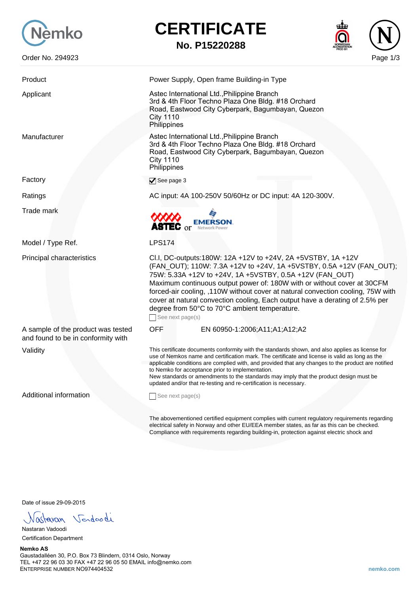

Factory

## **CERTIFICATE**

**No. P15220288**



| Product                                                                  | Power Supply, Open frame Building-in Type                                                                                                                                                                                                                                                                                                                                                                                                                                                                                  |
|--------------------------------------------------------------------------|----------------------------------------------------------------------------------------------------------------------------------------------------------------------------------------------------------------------------------------------------------------------------------------------------------------------------------------------------------------------------------------------------------------------------------------------------------------------------------------------------------------------------|
| Applicant                                                                | Astec International Ltd., Philippine Branch<br>3rd & 4th Floor Techno Plaza One Bldg. #18 Orchard<br>Road, Eastwood City Cyberpark, Bagumbayan, Quezon<br><b>City 1110</b><br>Philippines                                                                                                                                                                                                                                                                                                                                  |
| Manufacturer                                                             | Astec International Ltd., Philippine Branch<br>3rd & 4th Floor Techno Plaza One Bldg. #18 Orchard<br>Road, Eastwood City Cyberpark, Bagumbayan, Quezon<br><b>City 1110</b><br>Philippines                                                                                                                                                                                                                                                                                                                                  |
| Factory                                                                  | See page 3                                                                                                                                                                                                                                                                                                                                                                                                                                                                                                                 |
| Ratings                                                                  | AC input: 4A 100-250V 50/60Hz or DC input: 4A 120-300V.                                                                                                                                                                                                                                                                                                                                                                                                                                                                    |
| <b>Trade mark</b>                                                        | <b>EMERSON</b><br>ASTEC or<br>Network Power                                                                                                                                                                                                                                                                                                                                                                                                                                                                                |
| Model / Type Ref.                                                        | <b>LPS174</b>                                                                                                                                                                                                                                                                                                                                                                                                                                                                                                              |
| Principal characteristics                                                | Cl.I, DC-outputs:180W: 12A +12V to +24V, 2A +5VSTBY, 1A +12V<br>(FAN_OUT); 110W: 7.3A +12V to +24V, 1A +5VSTBY, 0.5A +12V (FAN_OUT);<br>75W: 5.33A +12V to +24V, 1A +5VSTBY, 0.5A +12V (FAN_OUT)<br>Maximum continuous output power of: 180W with or without cover at 30CFM<br>forced-air cooling, ,110W without cover at natural convection cooling, 75W with<br>cover at natural convection cooling, Each output have a derating of 2.5% per<br>degree from 50°C to 70°C ambient temperature.<br>See next page(s)        |
| A sample of the product was tested<br>and found to be in conformity with | <b>OFF</b><br>EN 60950-1:2006;A11;A1;A12;A2                                                                                                                                                                                                                                                                                                                                                                                                                                                                                |
| Validity                                                                 | This certificate documents conformity with the standards shown, and also applies as license for<br>use of Nemkos name and certification mark. The certificate and license is valid as long as the<br>applicable conditions are complied with, and provided that any changes to the product are notified<br>to Nemko for acceptance prior to implementation.<br>New standards or amendments to the standards may imply that the product design must be<br>updated and/or that re-testing and re-certification is necessary. |
| <b>Additional information</b>                                            | See next page(s)                                                                                                                                                                                                                                                                                                                                                                                                                                                                                                           |
|                                                                          | The abovementioned certified equipment complies with current regulatory requirements regarding<br>electrical safety in Norway and other EU/EEA member states, as far as this can be checked.<br>Compliance with requirements regarding building-in, protection against electric shock and                                                                                                                                                                                                                                  |

Date of issue 29-09-2015

Nastavan Vendoodi

Nastaran Vadoodi Certification Department

## **Nemko AS** Gaustadalléen 30, P.O. Box 73 Blindern, 0314 Oslo, Norway TEL +47 22 96 03 30 FAX +47 22 96 05 50 EMAIL info@nemko.com ENTERPRISE NUMBER NO974404532 **nemko.com**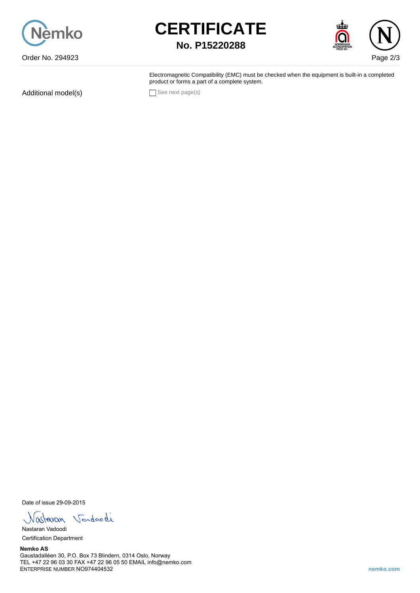





Electromagnetic Compatibility (EMC) must be checked when the equipment is built-in a completed product or forms a part of a complete system.

Additional model(s) See next page(s)

Date of issue 29-09-2015

Nastavan Vendoodi

Nastaran Vadoodi Certification Department

**Nemko AS** Gaustadalléen 30, P.O. Box 73 Blindern, 0314 Oslo, Norway TEL +47 22 96 03 30 FAX +47 22 96 05 50 EMAIL info@nemko.com ENTERPRISE NUMBER NO974404532 **nemko.com**